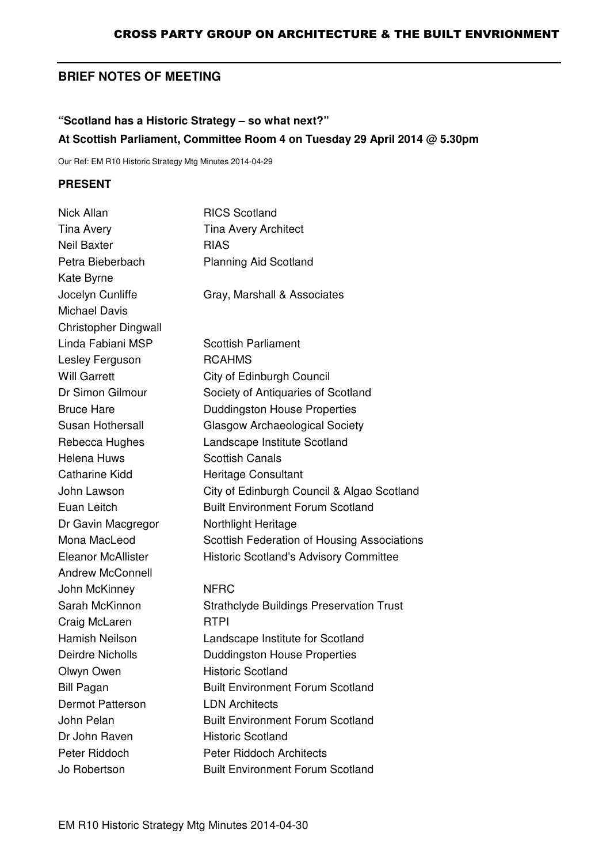# **BRIEF NOTES OF MEETING**

# **"Scotland has a Historic Strategy – so what next?" At Scottish Parliament, Committee Room 4 on Tuesday 29 April 2014 @ 5.30pm**

Our Ref: EM R10 Historic Strategy Mtg Minutes 2014-04-29

#### **PRESENT**

| Nick Allan                  | <b>RICS Scotland</b>                            |
|-----------------------------|-------------------------------------------------|
| Tina Avery                  | <b>Tina Avery Architect</b>                     |
| <b>Neil Baxter</b>          | <b>RIAS</b>                                     |
| Petra Bieberbach            | <b>Planning Aid Scotland</b>                    |
| Kate Byrne                  |                                                 |
| Jocelyn Cunliffe            | Gray, Marshall & Associates                     |
| <b>Michael Davis</b>        |                                                 |
| <b>Christopher Dingwall</b> |                                                 |
| Linda Fabiani MSP           | <b>Scottish Parliament</b>                      |
| Lesley Ferguson             | <b>RCAHMS</b>                                   |
| <b>Will Garrett</b>         | City of Edinburgh Council                       |
| Dr Simon Gilmour            | Society of Antiquaries of Scotland              |
| <b>Bruce Hare</b>           | <b>Duddingston House Properties</b>             |
| Susan Hothersall            | <b>Glasgow Archaeological Society</b>           |
| Rebecca Hughes              | Landscape Institute Scotland                    |
| <b>Helena Huws</b>          | <b>Scottish Canals</b>                          |
| <b>Catharine Kidd</b>       | <b>Heritage Consultant</b>                      |
| John Lawson                 | City of Edinburgh Council & Algao Scotland      |
| Euan Leitch                 | <b>Built Environment Forum Scotland</b>         |
| Dr Gavin Macgregor          | Northlight Heritage                             |
| Mona MacLeod                | Scottish Federation of Housing Associations     |
| <b>Eleanor McAllister</b>   | <b>Historic Scotland's Advisory Committee</b>   |
| <b>Andrew McConnell</b>     |                                                 |
| John McKinney               | <b>NFRC</b>                                     |
| Sarah McKinnon              | <b>Strathclyde Buildings Preservation Trust</b> |
| Craig McLaren               | <b>RTPI</b>                                     |
| <b>Hamish Neilson</b>       | Landscape Institute for Scotland                |
| <b>Deirdre Nicholls</b>     | <b>Duddingston House Properties</b>             |
| Olwyn Owen                  | <b>Historic Scotland</b>                        |
| <b>Bill Pagan</b>           | <b>Built Environment Forum Scotland</b>         |
| <b>Dermot Patterson</b>     | <b>LDN Architects</b>                           |
| John Pelan                  | <b>Built Environment Forum Scotland</b>         |
| Dr John Raven               | <b>Historic Scotland</b>                        |
| Peter Riddoch               | <b>Peter Riddoch Architects</b>                 |
| Jo Robertson                | <b>Built Environment Forum Scotland</b>         |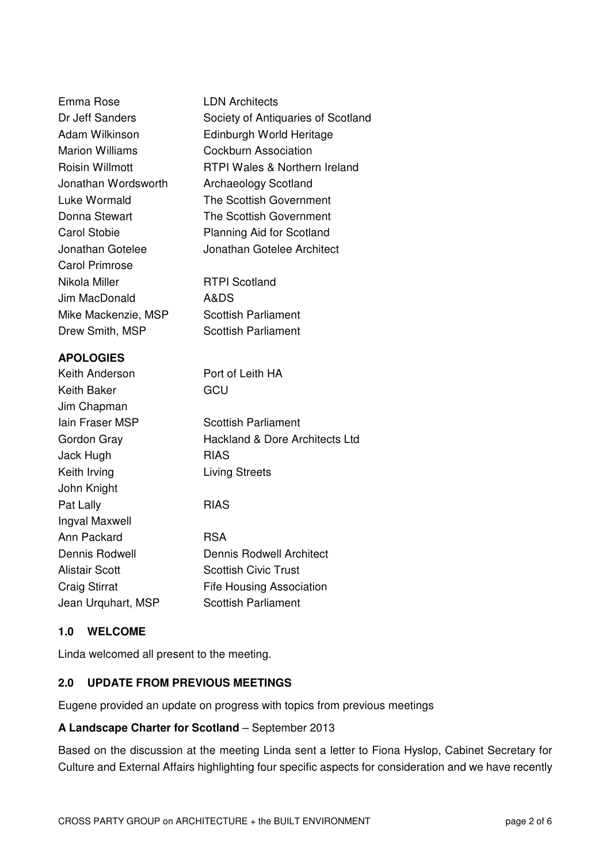| Emma Rose              | <b>LDN Architects</b>                     |
|------------------------|-------------------------------------------|
| Dr Jeff Sanders        | Society of Antiquaries of Scotland        |
| Adam Wilkinson         | Edinburgh World Heritage                  |
| <b>Marion Williams</b> | <b>Cockburn Association</b>               |
| <b>Roisin Willmott</b> | <b>RTPI Wales &amp; Northern Ireland</b>  |
| Jonathan Wordsworth    | <b>Archaeology Scotland</b>               |
| Luke Wormald           | The Scottish Government                   |
| Donna Stewart          | The Scottish Government                   |
| <b>Carol Stobie</b>    | <b>Planning Aid for Scotland</b>          |
| Jonathan Gotelee       | Jonathan Gotelee Architect                |
| <b>Carol Primrose</b>  |                                           |
| Nikola Miller          | <b>RTPI Scotland</b>                      |
| Jim MacDonald          | A&DS                                      |
| Mike Mackenzie, MSP    | <b>Scottish Parliament</b>                |
| Drew Smith, MSP        | Scottish Parliament                       |
| <b>APOLOGIES</b>       |                                           |
| Keith Anderson         | Port of Leith HA                          |
| Keith Baker            | GCU                                       |
| Jim Chapman            |                                           |
| <b>lain Fraser MSP</b> | <b>Scottish Parliament</b>                |
| Gordon Gray            | <b>Hackland &amp; Dore Architects Ltd</b> |
| Jack Hugh              | <b>RIAS</b>                               |
| Keith Irving           | <b>Living Streets</b>                     |
| John Knight            |                                           |
| Pat Lally              | <b>RIAS</b>                               |
| Ingval Maxwell         |                                           |
| Ann Packard            | <b>RSA</b>                                |
| Dennis Rodwell         | <b>Dennis Rodwell Architect</b>           |
| <b>Alistair Scott</b>  | <b>Scottish Civic Trust</b>               |
| <b>Craig Stirrat</b>   | <b>Fife Housing Association</b>           |
| Jean Urquhart, MSP     | <b>Scottish Parliament</b>                |
|                        |                                           |

#### **1.0 WELCOME**

Linda welcomed all present to the meeting.

#### **2.0 UPDATE FROM PREVIOUS MEETINGS**

Eugene provided an update on progress with topics from previous meetings

#### **A Landscape Charter for Scotland** – September 2013

Based on the discussion at the meeting Linda sent a letter to Fiona Hyslop, Cabinet Secretary for Culture and External Affairs highlighting four specific aspects for consideration and we have recently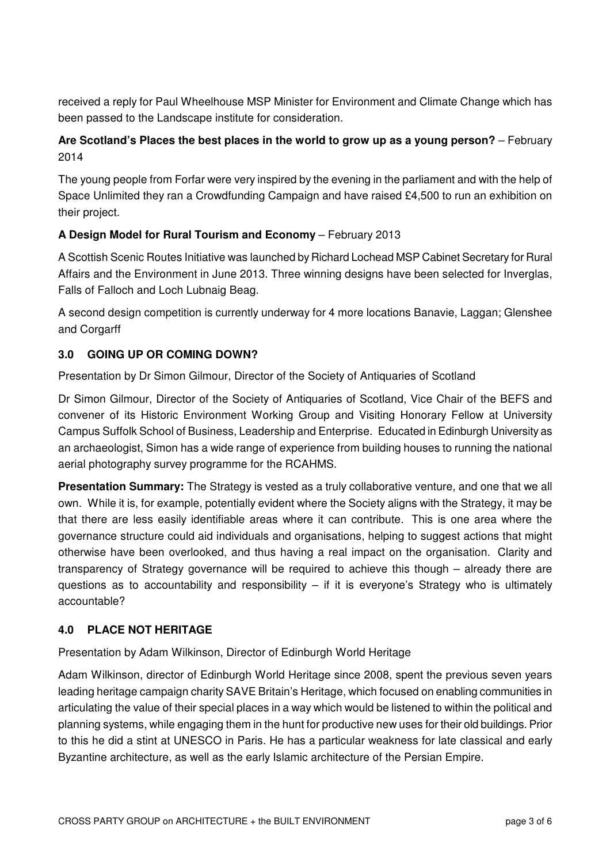received a reply for Paul Wheelhouse MSP Minister for Environment and Climate Change which has been passed to the Landscape institute for consideration.

## **Are Scotland's Places the best places in the world to grow up as a young person?** – February 2014

The young people from Forfar were very inspired by the evening in the parliament and with the help of Space Unlimited they ran a Crowdfunding Campaign and have raised £4,500 to run an exhibition on their project.

### **A Design Model for Rural Tourism and Economy** – February 2013

A Scottish Scenic Routes Initiative was launched by Richard Lochead MSP Cabinet Secretary for Rural Affairs and the Environment in June 2013. Three winning designs have been selected for Inverglas, Falls of Falloch and Loch Lubnaig Beag.

A second design competition is currently underway for 4 more locations Banavie, Laggan; Glenshee and Corgarff

# **3.0 GOING UP OR COMING DOWN?**

Presentation by Dr Simon Gilmour, Director of the Society of Antiquaries of Scotland

Dr Simon Gilmour, Director of the Society of Antiquaries of Scotland, Vice Chair of the BEFS and convener of its Historic Environment Working Group and Visiting Honorary Fellow at University Campus Suffolk School of Business, Leadership and Enterprise. Educated in Edinburgh University as an archaeologist, Simon has a wide range of experience from building houses to running the national aerial photography survey programme for the RCAHMS.

**Presentation Summary:** The Strategy is vested as a truly collaborative venture, and one that we all own. While it is, for example, potentially evident where the Society aligns with the Strategy, it may be that there are less easily identifiable areas where it can contribute. This is one area where the governance structure could aid individuals and organisations, helping to suggest actions that might otherwise have been overlooked, and thus having a real impact on the organisation. Clarity and transparency of Strategy governance will be required to achieve this though – already there are questions as to accountability and responsibility  $-$  if it is everyone's Strategy who is ultimately accountable?

### **4.0 PLACE NOT HERITAGE**

Presentation by Adam Wilkinson, Director of Edinburgh World Heritage

Adam Wilkinson, director of Edinburgh World Heritage since 2008, spent the previous seven years leading heritage campaign charity SAVE Britain's Heritage, which focused on enabling communities in articulating the value of their special places in a way which would be listened to within the political and planning systems, while engaging them in the hunt for productive new uses for their old buildings. Prior to this he did a stint at UNESCO in Paris. He has a particular weakness for late classical and early Byzantine architecture, as well as the early Islamic architecture of the Persian Empire.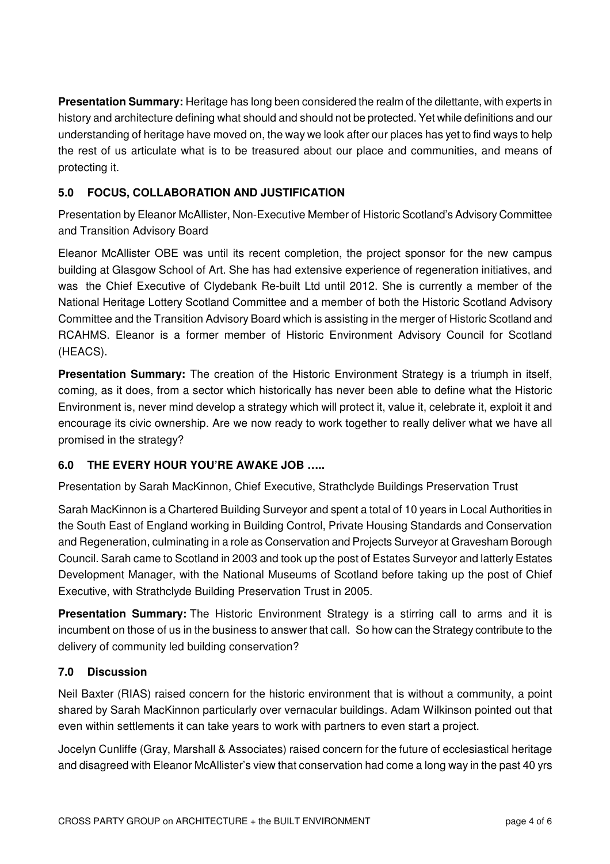**Presentation Summary:** Heritage has long been considered the realm of the dilettante, with experts in history and architecture defining what should and should not be protected. Yet while definitions and our understanding of heritage have moved on, the way we look after our places has yet to find ways to help the rest of us articulate what is to be treasured about our place and communities, and means of protecting it.

## **5.0 FOCUS, COLLABORATION AND JUSTIFICATION**

Presentation by Eleanor McAllister, Non-Executive Member of Historic Scotland's Advisory Committee and Transition Advisory Board

Eleanor McAllister OBE was until its recent completion, the project sponsor for the new campus building at Glasgow School of Art. She has had extensive experience of regeneration initiatives, and was the Chief Executive of Clydebank Re-built Ltd until 2012. She is currently a member of the National Heritage Lottery Scotland Committee and a member of both the Historic Scotland Advisory Committee and the Transition Advisory Board which is assisting in the merger of Historic Scotland and RCAHMS. Eleanor is a former member of Historic Environment Advisory Council for Scotland (HEACS).

**Presentation Summary:** The creation of the Historic Environment Strategy is a triumph in itself, coming, as it does, from a sector which historically has never been able to define what the Historic Environment is, never mind develop a strategy which will protect it, value it, celebrate it, exploit it and encourage its civic ownership. Are we now ready to work together to really deliver what we have all promised in the strategy?

### **6.0 THE EVERY HOUR YOU'RE AWAKE JOB …..**

Presentation by Sarah MacKinnon, Chief Executive, Strathclyde Buildings Preservation Trust

Sarah MacKinnon is a Chartered Building Surveyor and spent a total of 10 years in Local Authorities in the South East of England working in Building Control, Private Housing Standards and Conservation and Regeneration, culminating in a role as Conservation and Projects Surveyor at Gravesham Borough Council. Sarah came to Scotland in 2003 and took up the post of Estates Surveyor and latterly Estates Development Manager, with the National Museums of Scotland before taking up the post of Chief Executive, with Strathclyde Building Preservation Trust in 2005.

**Presentation Summary:** The Historic Environment Strategy is a stirring call to arms and it is incumbent on those of us in the business to answer that call. So how can the Strategy contribute to the delivery of community led building conservation?

### **7.0 Discussion**

Neil Baxter (RIAS) raised concern for the historic environment that is without a community, a point shared by Sarah MacKinnon particularly over vernacular buildings. Adam Wilkinson pointed out that even within settlements it can take years to work with partners to even start a project.

Jocelyn Cunliffe (Gray, Marshall & Associates) raised concern for the future of ecclesiastical heritage and disagreed with Eleanor McAllister's view that conservation had come a long way in the past 40 yrs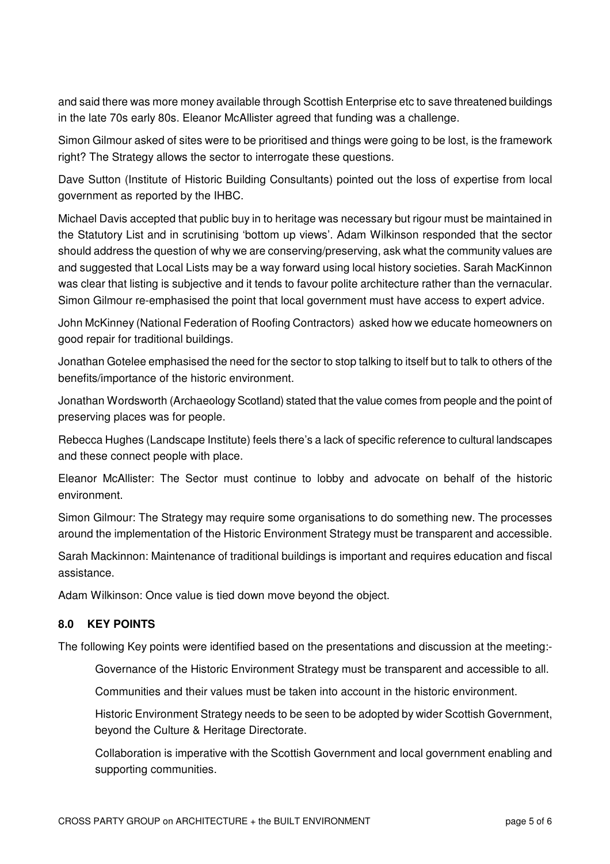and said there was more money available through Scottish Enterprise etc to save threatened buildings in the late 70s early 80s. Eleanor McAllister agreed that funding was a challenge.

Simon Gilmour asked of sites were to be prioritised and things were going to be lost, is the framework right? The Strategy allows the sector to interrogate these questions.

Dave Sutton (Institute of Historic Building Consultants) pointed out the loss of expertise from local government as reported by the IHBC.

Michael Davis accepted that public buy in to heritage was necessary but rigour must be maintained in the Statutory List and in scrutinising 'bottom up views'. Adam Wilkinson responded that the sector should address the question of why we are conserving/preserving, ask what the community values are and suggested that Local Lists may be a way forward using local history societies. Sarah MacKinnon was clear that listing is subjective and it tends to favour polite architecture rather than the vernacular. Simon Gilmour re-emphasised the point that local government must have access to expert advice.

John McKinney (National Federation of Roofing Contractors) asked how we educate homeowners on good repair for traditional buildings.

Jonathan Gotelee emphasised the need for the sector to stop talking to itself but to talk to others of the benefits/importance of the historic environment.

Jonathan Wordsworth (Archaeology Scotland) stated that the value comes from people and the point of preserving places was for people.

Rebecca Hughes (Landscape Institute) feels there's a lack of specific reference to cultural landscapes and these connect people with place.

Eleanor McAllister: The Sector must continue to lobby and advocate on behalf of the historic environment.

Simon Gilmour: The Strategy may require some organisations to do something new. The processes around the implementation of the Historic Environment Strategy must be transparent and accessible.

Sarah Mackinnon: Maintenance of traditional buildings is important and requires education and fiscal assistance.

Adam Wilkinson: Once value is tied down move beyond the object.

#### **8.0 KEY POINTS**

The following Key points were identified based on the presentations and discussion at the meeting:-

Governance of the Historic Environment Strategy must be transparent and accessible to all.

Communities and their values must be taken into account in the historic environment.

Historic Environment Strategy needs to be seen to be adopted by wider Scottish Government, beyond the Culture & Heritage Directorate.

Collaboration is imperative with the Scottish Government and local government enabling and supporting communities.